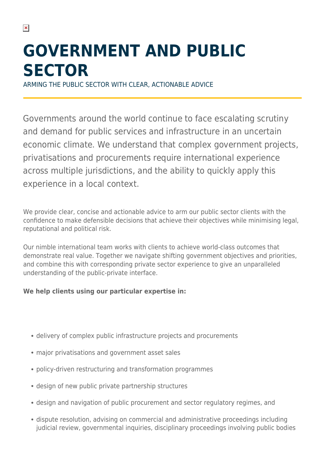# **GOVERNMENT AND PUBLIC SECTOR**

ARMING THE PUBLIC SECTOR WITH CLEAR, ACTIONABLE ADVICE

Governments around the world continue to face escalating scrutiny and demand for public services and infrastructure in an uncertain economic climate. We understand that complex government projects, privatisations and procurements require international experience across multiple jurisdictions, and the ability to quickly apply this experience in a local context.

We provide clear, concise and actionable advice to arm our public sector clients with the confidence to make defensible decisions that achieve their objectives while minimising legal, reputational and political risk.

Our nimble international team works with clients to achieve world-class outcomes that demonstrate real value. Together we navigate shifting government objectives and priorities, and combine this with corresponding private sector experience to give an unparalleled understanding of the public-private interface.

#### **We help clients using our particular expertise in:**

- delivery of complex public infrastructure projects and procurements
- major privatisations and government asset sales
- policy-driven restructuring and transformation programmes
- design of new public private partnership structures
- design and navigation of public procurement and sector regulatory regimes, and
- dispute resolution, advising on commercial and administrative proceedings including judicial review, governmental inquiries, disciplinary proceedings involving public bodies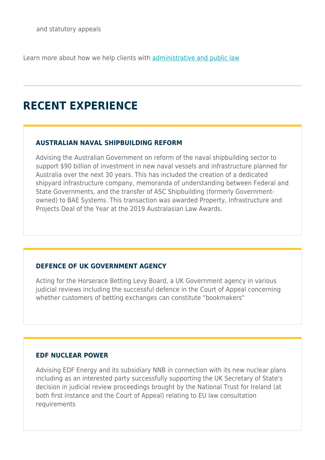Learn more about how we help clients with [administrative and public law](https://www.herbertsmithfreehills.com/our-expertise/services/administrative-and-public-law)

# **RECENT EXPERIENCE**

#### **AUSTRALIAN NAVAL SHIPBUILDING REFORM**

Advising the Australian Government on reform of the naval shipbuilding sector to support \$90 billion of investment in new naval vessels and infrastructure planned for Australia over the next 30 years. This has included the creation of a dedicated shipyard infrastructure company, memoranda of understanding between Federal and State Governments, and the transfer of ASC Shipbuilding (formerly Governmentowned) to BAE Systems. This transaction was awarded Property, Infrastructure and Projects Deal of the Year at the 2019 Australasian Law Awards.

#### **DEFENCE OF UK GOVERNMENT AGENCY**

Acting for the Horserace Betting Levy Board, a UK Government agency in various judicial reviews including the successful defence in the Court of Appeal concerning whether customers of betting exchanges can constitute "bookmakers"

#### **EDF NUCLEAR POWER**

Advising EDF Energy and its subsidiary NNB in connection with its new nuclear plans including as an interested party successfully supporting the UK Secretary of State's decision in judicial review proceedings brought by the National Trust for Ireland (at both first instance and the Court of Appeal) relating to EU law consultation requirements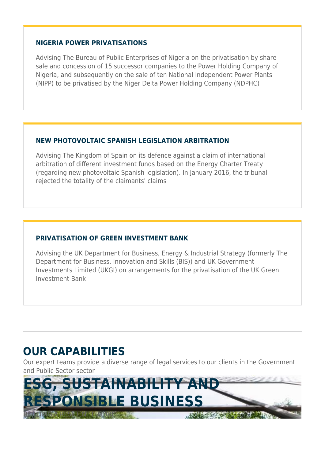#### **NIGERIA POWER PRIVATISATIONS**

Advising The Bureau of Public Enterprises of Nigeria on the privatisation by share sale and concession of 15 successor companies to the Power Holding Company of Nigeria, and subsequently on the sale of ten National Independent Power Plants (NIPP) to be privatised by the Niger Delta Power Holding Company (NDPHC)

#### **NEW PHOTOVOLTAIC SPANISH LEGISLATION ARBITRATION**

Advising The Kingdom of Spain on its defence against a claim of international arbitration of different investment funds based on the Energy Charter Treaty (regarding new photovoltaic Spanish legislation). In January 2016, the tribunal rejected the totality of the claimants' claims

#### **PRIVATISATION OF GREEN INVESTMENT BANK**

Advising the UK Department for Business, Energy & Industrial Strategy (formerly The Department for Business, Innovation and Skills (BIS)) and UK Government Investments Limited (UKGI) on arrangements for the privatisation of the UK Green Investment Bank

### **OUR CAPABILITIES**

Our expert teams provide a diverse range of legal services to our clients in the Government and Public Sector sector